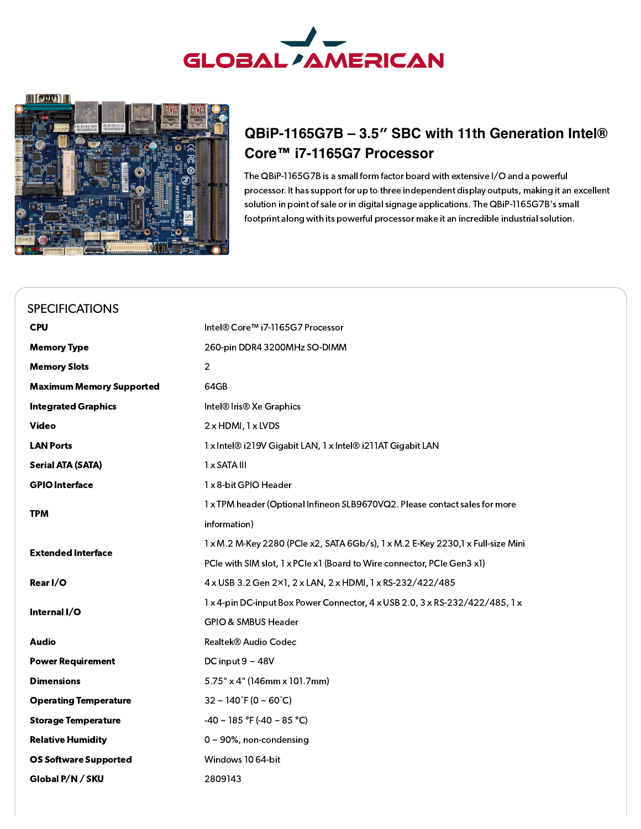

 $\left\| \left[ \begin{array}{cc} 0 & 0 \\ 0 & 0 \end{array} \right] \right\|$ 



## **QBiP-1165G7B – 3.5″ SBC with 11th Generation Intel® Core™ i7-1165G7 Processor**

The QBiP-1165G7B is a small form factor board with extensive I/O and a powerful processor. It has support for up to three independent display outputs, making it an excellent solution in point of sale or in digital signage applications. The QBiP-1165G7B's small footprint along with its powerful processor make it an incredible industrial solution.

<span id="page-0-0"></span>

| <b>SPECIFICATIONS</b>           |                                                                                  |
|---------------------------------|----------------------------------------------------------------------------------|
| <b>CPU</b>                      | Intel® Core™ i7-1165G7 Processor                                                 |
| <b>Memory Type</b>              | 260-pin DDR4 3200MHz SO-DIMM                                                     |
| <b>Memory Slots</b>             | $\overline{2}$                                                                   |
| <b>Maximum Memory Supported</b> | 64GB                                                                             |
| <b>Integrated Graphics</b>      | Intel <sup>®</sup> Iris <sup>®</sup> Xe Graphics                                 |
| <b>Video</b>                    | 2 x HDMI, 1 x LVDS                                                               |
| <b>LAN Ports</b>                | 1 x Intel® i219V Gigabit LAN, 1 x Intel® i211AT Gigabit LAN                      |
| <b>Serial ATA (SATA)</b>        | 1 x SATA III                                                                     |
| <b>GPIO Interface</b>           | 1 x 8-bit GPIO Header                                                            |
| <b>TPM</b>                      | 1 x TPM header (Optional Infineon SLB9670VQ2. Please contact sales for more      |
|                                 | information)                                                                     |
| <b>Extended Interface</b>       | 1 x M.2 M-Key 2280 (PCle x2, SATA 6Gb/s), 1 x M.2 E-Key 2230, 1 x Full-size Mini |
|                                 | PCIe with SIM slot, 1 x PCIe x1 (Board to Wire connector, PCIe Gen3 x1)          |
| Rear I/O                        | 4 x USB 3.2 Gen 2×1, 2 x LAN, 2 x HDMI, 1 x RS-232/422/485                       |
| Internal I/O                    | 1 x 4-pin DC-input Box Power Connector, 4 x USB 2.0, 3 x RS-232/422/485, 1 x     |
|                                 | GPIO & SMBUS Header                                                              |
| <b>Audio</b>                    | Realtek® Audio Codec                                                             |
| <b>Power Requirement</b>        | DC input $9 \sim 48V$                                                            |
| <b>Dimensions</b>               | 5.75" x 4" (146mm x 101.7mm)                                                     |
| <b>Operating Temperature</b>    | $32 \sim 140^{\circ}$ F (0 ~ 60 $^{\circ}$ C)                                    |
| <b>Storage Temperature</b>      | $-40 \sim 185$ °F (-40 ~ 85 °C)                                                  |
| <b>Relative Humidity</b>        | $0 \sim 90\%$ , non-condensing                                                   |
| <b>OS Software Supported</b>    | Windows 10 64-bit                                                                |
| Global P/N / SKU                | 2809143                                                                          |